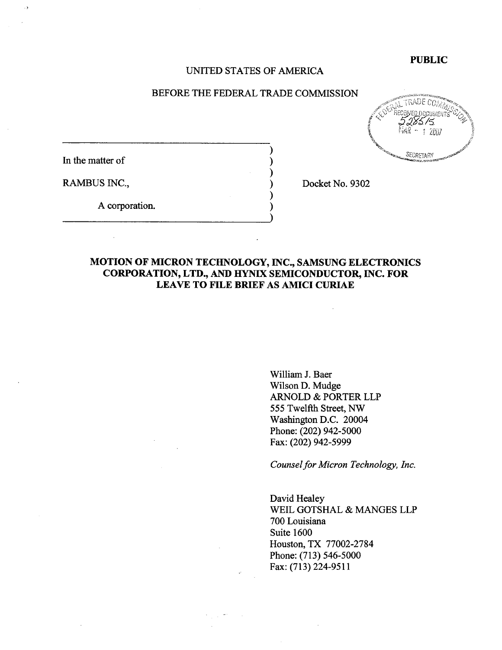#### PUBLIC

### UNITED STATES OF AMERICA

## BEFORE THE FEDERAL TRADE COMMISSION

A corporation.

RAMBUS INC., Docket No. 9302

# MOTION OF MICRON TECHNOLOGY, INC., SAMSUNG ELECTRONICS CORPORATION, LTD., AND HYNIX SEMICONDUCTOR, INC. FOR LEAVE TO FILE BRIEF AS AMICI CURIAE

Wiliam J. Baer Wilson D. Mudge ARNOLD & PORTER LLP 555 Twelfth Street, NW Washington D.C. 20004 Phone: (202) 942-5000 Fax: (202) 942-5999

Counsel for Micron Technology, Inc.

David Healey WElL GOTSHAL & MANGES LLP 700 Louisiana Suite 1600 Houston, TX 77002-2784 Phone: (713) 546-5000 Fax: (713) 224-9511

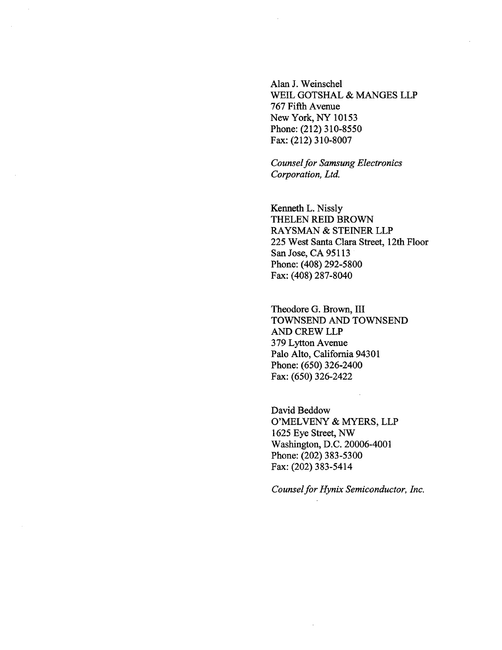Alan J. Weinschel WElL GOTSHAL & MANGES LLP 767 Fifth Avenue New York, NY 10153 Phone: (212) 310-8550 Fax: (212) 310-8007

Counsel for Samsung Electronics Corporation, Ltd.

Kenneth L. Nissly THELEN REID BROWN RA YSMAN & STEINER LLP 225 West Santa Clara Street, 12th Floor San Jose, CA 95113 Phone: (408) 292-5800 Fax: (408) 287-8040

Theodore G. Brown, III TOWNSEND AND TOWNSEND AND CREW LLP 379 Lyton Avenue Palo Alto, California 94301 Phone: (650) 326-2400 Fax: (650) 326-2422

David Beddow MELVENY & MYERS, LLP 1625 Eye Street, NW Washington, D.C. 20006-4001 Phone: (202) 383-5300 Fax: (202) 383-5414

Counsel for Hynix Semiconductor, Inc.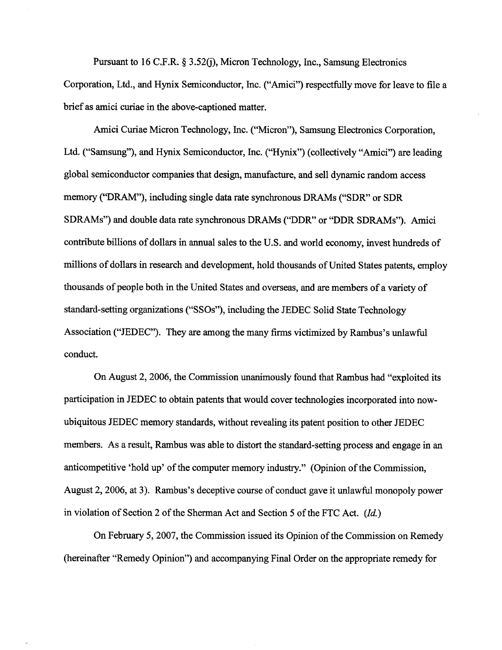Pursuant to 16 C.F.R. § 3.52(j), Micron Technology, Inc., Samsung Electronics Corporation, Ltd., and Hynix Semiconductor, Inc. ("Amici") respectfully move for leave to file a brief as amici curae in the above-captioned matter.

Amici Curiae Micron Technology, Inc. ("Micron"), Samsung Electronics Corporation, Ltd. ("Samsung"), and Hynix Semiconductor, Inc. ("Hynix") (collectively "Amici") are leading global semiconductor companies that design, manufacture, and sell dynamic random access memory ("DRAM"), including single data rate synchronous DRAMs ("SDR" or SDR SDRAMs") and double data rate synchronous DRAMs ("DDR" or "DDR SDRAMs"). Amici contrbute bilions of dollars in anual sales to the U.S. and world economy, invest hundreds of milions of dollars in research and development, hold thousands of United States patents, employ thousands of people both in the United States and overseas, and are members of a variety of standard-setting organzations ("SSOs ), including the JEDEC Solid State Technology Association ("JEDEC"). They are among the many firms victimized by Rambus's unlawful conduct.

On August 2, 2006, the Commission unanimously found that Rambus had "exploited its paricipation in JEDEC to obtain patents that would cover technologies incorporated into nowubiquitous JEDEC memory standards, without revealing its patent position to other JEDEC members. As a result, Rambus was able to distort the standard-setting process and engage in an anticompetitive 'hold up' of the computer memory industry." (Opinion of the Commission, August 2, 2006, at 3). Rambus's deceptive course of conduct gave it unlawful monopoly power in violation of Section 2 of the Sherman Act and Section 5 of the FTC Act. (Id.

On February 5, 2007, the Commission issued its Opinion of the Commission on Remedy (hereinafter "Remedy Opinion") and accompanying Final Order on the appropriate remedy for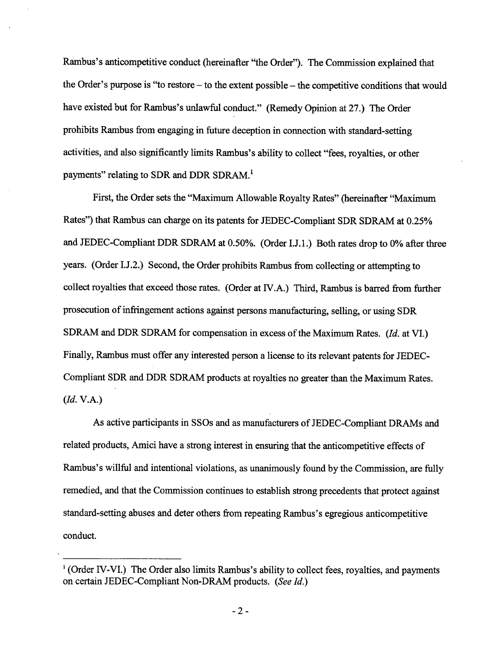Rambus's anticompetitive conduct (hereinafter "the Order"). The Commission explained that the Order's purpose is "to restore  $-$  to the extent possible  $-$  the competitive conditions that would have existed but for Rambus's unlawful conduct." (Remedy Opinion at 27.) The Order prohibits Rambus from engaging in futue deception in connection with standard-setting activities, and also significantly limits Rambus's ability to collect "fees, royalties, or other payments" relating to SDR and DDR SDRAM.<sup>1</sup>

First, the Order sets the "Maximum Allowable Royalty Rates" (hereinafter "Maximum Rates") that Rambus can charge on its patents for JEDEC-Compliant SDR SDRAM at 0.25% and JEDEC-Compliant DDR SDRAM at 0.50%. (Order I.J.1.) Both rates drop to 0% after three years. (Order I.J.2.) Second, the Order prohibits Rambus from collecting or attempting to collect royalties that exceed those rates. (Order at IV.A.) Third, Rambus is barred from further prosecution of infringement actions against persons manufacturing, selling, or using SDR SDRAM and DDR SDRAM for compensation in excess of the Maximum Rates. (Id. at VI.) Finally, Rambus must offer any interested person a license to its relevant patents for JEDEC-Compliant SDR and DDR SDRAM products at royalties no greater than the Maximum Rates.  $(Id. V.A.)$ 

As active participants in SSOs and as manufacturers of JEDEC-Compliant DRAMs and related products, Amici have a strong interest in ensuring that the anticompetitive effects of Rambus's willful and intentional violations, as unanimously found by the Commission, are fully remedied, and that the Commission continues to establish strong precedents that protect against standard-setting abuses and deter others from repeating Rambus's egregious anticompetitive conduct.

 $\frac{1}{1}$  (Order IV-VI.) The Order also limits Rambus's ability to collect fees, royalties, and payments on certain JEDEC-Compliant Non-DRAM products. (See Id.)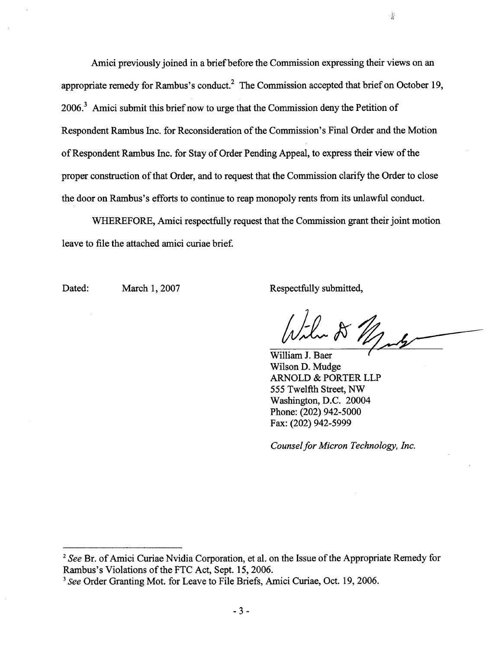Amici previously joined in a brief before the Commission expressing their views on an appropriate remedy for Rambus's conduct.<sup>2</sup> The Commission accepted that brief on October 19, 2006.<sup>3</sup> Amici submit this brief now to urge that the Commission deny the Petition of Respondent Rambus Inc. for Reconsideration of the Commission's Final Order and the Motion of Respondent Rambus Inc. for Stay of Order Pending Appeal, to express their view of the proper construction of that Order, and to request that the Commission clarify the Order to close the door on Rambus's efforts to continue to reap monopoly rents from its unlawful conduct.

WHEREFORE, Amici respectfully request that the Commission grant their joint motion leave to file the attached amici curiae brief.

Dated: March 1, 2007 Respectfully submitted,

 $R \mathbb{Z}$ 

William J. Baer Wilson D. Mudge AROLD & PORTER LLP 555 Twelfth Street, NW Washington, D.C. 20004 Phone: (202) 942-5000 Fax: (202) 942-5999

Counsel for Micron Technology, Inc.

÷

See Br. of Amici Curiae Nvidia Corporation, et al. on the Issue of the Appropriate Remedy for Rambus's Violations of the FTC Act, Sept. 15, 2006.

<sup>&</sup>lt;sup>3</sup> See Order Granting Mot. for Leave to File Briefs, Amici Curiae, Oct. 19, 2006.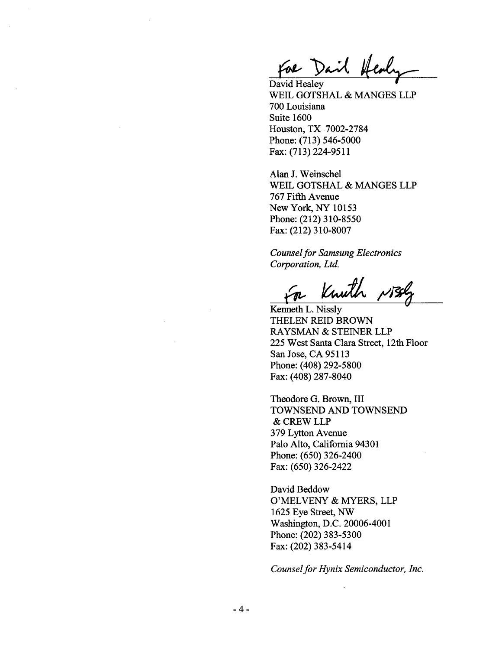For Dail Heal

David Healey WElL GOTSHAL & MANGES LLP 700 Louisiana Suite 1600 Houston, TX 7002-2784 Phone: (713) 546-5000 Fax: (713) 224-9511

Alan J. Weinschel WEIL GOTSHAL & MANGES LLP 767 Fifth Avenue New York, NY 10153 Phone: (212) 310-8550 Fax: (212) 310-8007

Counsel for Samsung Electronics Corporation, Ltd.

For Knuth Nost

Kenneth L. Nissly THELEN REID BROWN RA YSMAN & STEINER LLP 225 West Santa Clara Street, 12th Floor San Jose, CA 95113 Phone: (408) 292-5800 Fax: (408) 287-8040

Theodore G. Brown, III TOWNSEND AND TOWNSEND & CREW LLP 379 Lytton Avenue Palo Alto, California 94301 Phone: (650) 326-2400 Fax: (650) 326-2422

David Beddow O'MELVENY & MYERS, LLP 1625 Eye Street, NW Washington, D.C. 20006-4001 Phone: (202) 383-5300 Fax: (202) 383-5414

Counsel for Hynix Semiconductor. Inc.

 $\ddot{\phantom{a}}$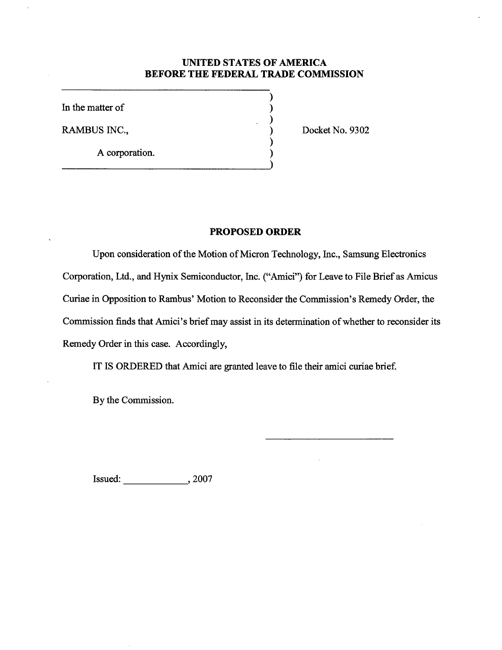## UNITED STATES OF AMERICA BEFORE THE FEDERAL TRADE COMMISSION

In the matter of

RAMBUS INC., Docket No. 9302

A corporation.

## PROPOSED ORDER

Upon consideration of the Motion of Micron Technology, Inc., Samsung Electronics Corporation, Ltd., and Hynx Semiconductor, Inc. ("Amici") for Leave to File Brief as Amicus Curiae in Opposition to Rambus' Motion to Reconsider the Commission's Remedy Order, the Commission finds that Amici's brief may assist in its determination of whether to reconsider its Remedy Order in this case. Accordingly,

IT IS ORDERED that Amici are granted leave to fie their amici curae brief.

By the Commission.

Issued:  $, 2007$